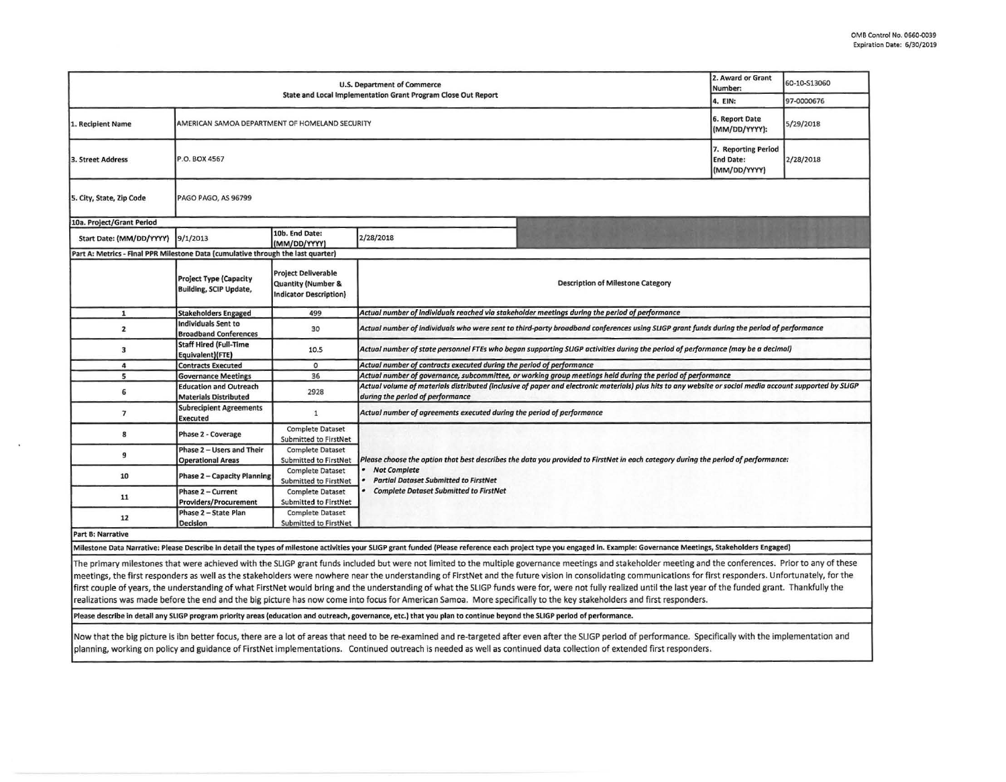| <b>U.S. Department of Commerce</b>                                                                                                                                                                                    |                                                                |                                                                                              |                                                                                                                                                                                              |                                          | 2. Award or Grant<br>Number: | 60-10-S13060 |  |  |  |
|-----------------------------------------------------------------------------------------------------------------------------------------------------------------------------------------------------------------------|----------------------------------------------------------------|----------------------------------------------------------------------------------------------|----------------------------------------------------------------------------------------------------------------------------------------------------------------------------------------------|------------------------------------------|------------------------------|--------------|--|--|--|
| State and Local Implementation Grant Program Close Out Report                                                                                                                                                         |                                                                |                                                                                              |                                                                                                                                                                                              |                                          |                              | 97-0000676   |  |  |  |
| 1. Recipient Name                                                                                                                                                                                                     | AMERICAN SAMOA DEPARTMENT OF HOMELAND SECURITY                 |                                                                                              |                                                                                                                                                                                              |                                          |                              | 5/29/2018    |  |  |  |
| 3. Street Address                                                                                                                                                                                                     | P.O. BOX 4567                                                  |                                                                                              |                                                                                                                                                                                              |                                          |                              | 2/28/2018    |  |  |  |
| 5. City, State, Zip Code                                                                                                                                                                                              | PAGO PAGO, AS 96799                                            |                                                                                              |                                                                                                                                                                                              |                                          |                              |              |  |  |  |
| 10a. Project/Grant Period                                                                                                                                                                                             |                                                                |                                                                                              |                                                                                                                                                                                              |                                          |                              |              |  |  |  |
| Start Date: (MM/DD/YYYY)                                                                                                                                                                                              | 10b. End Date:<br>2/28/2018<br>9/1/2013<br>(MM/DD/YYYY)        |                                                                                              |                                                                                                                                                                                              |                                          |                              |              |  |  |  |
| Part A: Metrics - Final PPR Milestone Data (cumulative through the last quarter)                                                                                                                                      |                                                                |                                                                                              |                                                                                                                                                                                              |                                          |                              |              |  |  |  |
|                                                                                                                                                                                                                       | <b>Project Type (Capacity</b><br><b>Building, SCIP Update,</b> | <b>Project Deliverable</b><br><b>Quantity (Number &amp;</b><br><b>Indicator Description)</b> |                                                                                                                                                                                              | <b>Description of Milestone Category</b> |                              |              |  |  |  |
| $\mathbf{1}$                                                                                                                                                                                                          | <b>Stakeholders Engaged</b>                                    | 499                                                                                          | Actual number of individuals reached via stakeholder meetings during the period of performance                                                                                               |                                          |                              |              |  |  |  |
| $\mathbf{z}$                                                                                                                                                                                                          | <b>Individuals Sent to</b><br><b>Broadband Conferences</b>     | 30                                                                                           | Actual number of individuals who were sent to third-party broadband conferences using SLIGP grant funds during the period of performance                                                     |                                          |                              |              |  |  |  |
| з                                                                                                                                                                                                                     | <b>Staff Hired (Full-Time</b><br>Equivalent)(FTE)              | 10.5                                                                                         | Actual number of state personnel FTEs who began supporting SLIGP activities during the period of performance (may be a decimal)                                                              |                                          |                              |              |  |  |  |
| 4                                                                                                                                                                                                                     | <b>Contracts Executed</b>                                      | $\circ$                                                                                      | Actual number of contracts executed during the period of performance                                                                                                                         |                                          |                              |              |  |  |  |
| 5                                                                                                                                                                                                                     | <b>Governance Meetings</b>                                     | 36                                                                                           | Actual number of governance, subcommittee, or working group meetings held during the period of performance                                                                                   |                                          |                              |              |  |  |  |
| 6                                                                                                                                                                                                                     | <b>Education and Outreach</b><br><b>Materials Distributed</b>  | 2928                                                                                         | Actual volume of materials distributed (inclusive of paper and electronic materials) plus hits to any website or social media account supported by SLIGP<br>during the period of performance |                                          |                              |              |  |  |  |
| $\overline{7}$                                                                                                                                                                                                        | <b>Subrecipient Agreements</b><br><b>Executed</b>              | $\mathbf{1}$                                                                                 | Actual number of agreements executed during the period of performance                                                                                                                        |                                          |                              |              |  |  |  |
| 8                                                                                                                                                                                                                     | Phase 2 - Coverage                                             | <b>Complete Dataset</b><br>Submitted to FirstNet                                             |                                                                                                                                                                                              |                                          |                              |              |  |  |  |
| 9                                                                                                                                                                                                                     | Phase 2 - Users and Their<br><b>Operational Areas</b>          | <b>Complete Dataset</b><br>Submitted to FirstNet                                             | Please choose the option that best describes the data you provided to FirstNet in each category during the period of performance:                                                            |                                          |                              |              |  |  |  |
| 10                                                                                                                                                                                                                    | <b>Phase 2 - Capacity Planning</b>                             | <b>Complete Dataset</b><br>Submitted to FirstNet                                             | <b>Not Complete</b><br><b>Partial Dataset Submitted to FirstNet</b><br><b>Complete Dataset Submitted to FirstNet</b>                                                                         |                                          |                              |              |  |  |  |
| 11                                                                                                                                                                                                                    | Phase 2 - Current<br><b>Providers/Procurement</b>              | <b>Complete Dataset</b><br>Submitted to FirstNet                                             |                                                                                                                                                                                              |                                          |                              |              |  |  |  |
| 12                                                                                                                                                                                                                    | Phase 2 - State Plan<br><b>Decision</b>                        | <b>Complete Dataset</b><br>Submitted to FirstNet                                             |                                                                                                                                                                                              |                                          |                              |              |  |  |  |
| Part B: Narrative                                                                                                                                                                                                     |                                                                |                                                                                              |                                                                                                                                                                                              |                                          |                              |              |  |  |  |
| Milestone Data Narrative: Please Describe in detail the types of milestone activities your SLIGP grant funded (Please reference each project type you engaged in. Example: Governance Meetings, Stakeholders Engaged) |                                                                |                                                                                              |                                                                                                                                                                                              |                                          |                              |              |  |  |  |

The primary milestones that were achieved with the SLIGP grant funds included but were not limited to the multiple governance meetings and stakeholder meeting and the conferences. Prior to any of these meetings, the first responders as well *as* the stakeholders were nowhere near the understanding of FirstNet and the future vision in consolidating communications for first responders. Unfortunately, for the first couple of years, the understanding of what FirstNet would bring and the understanding of what the SLIGP funds were for, were not fully realized until the last year of the funded grant. Thankfully the realizations was made before the end and the big picture has now come into focus for American Samoa. More specifically to the key stakeholders and first responders.

Please describe In detail any SLIGP program priority areas (education and outreach, governance, etc.) that you plan to continue beyond the SLIGP period of performance.

Now that the big picture is ibn better focus, there are a lot of areas that need to be re-examined and re-targeted after even after the SLIGP period of performance. Specifically with the implementation and planning, working on policy and guidance of FirstNet implementations. Continued outreach is needed as well as continued data collection of extended first responders.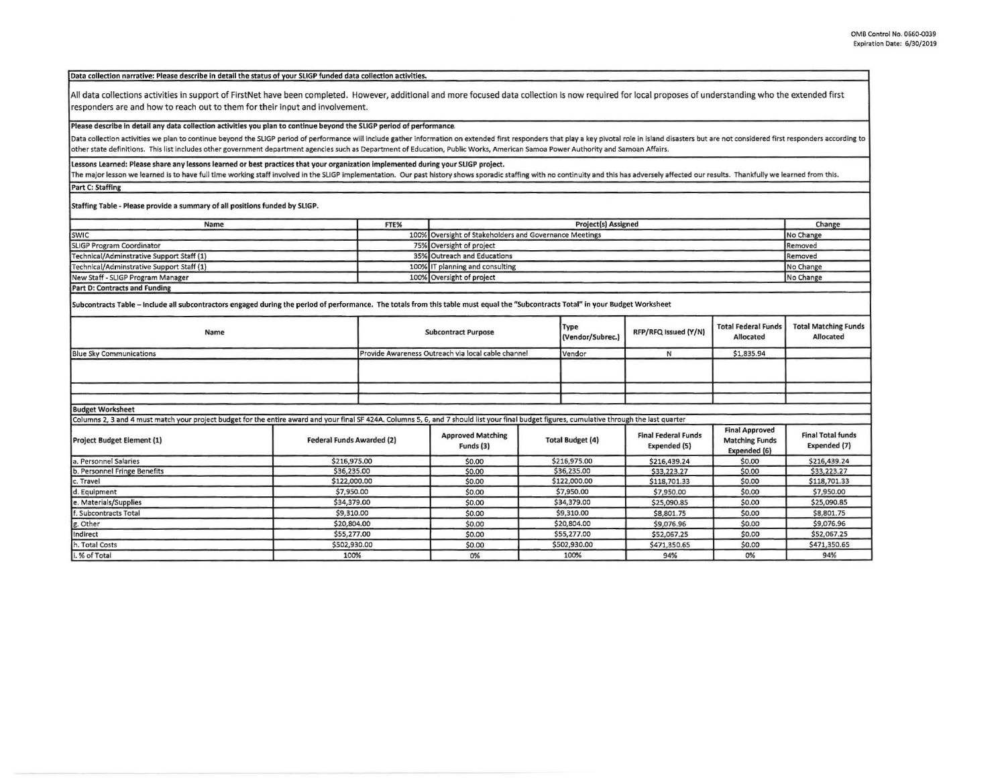## Data collection narrative: Please describe In detail the status of vour SLIGP funded data collection activities.

All data collections activities in support of FirstNet have been completed. However, additional and more focused data collection is now required for local proposes of understanding who the extended first responders are and how to reach out to them for their input and involvement.

## Please describe In detail any data collection activities you plan to continue beyond the SllGP period of performance.

Data collection activities we plan to continue beyond the SLIGP period of performance will include gather information on extended first responders that play a key pivotal role in island disasters but are not considered fir **other state definitions. This list Includes other government department agencies such as Department of Education, Public Works, American samoa Power Authority and Samoan Affairs.** 

## Lessons Learned: Please share any lessons learned or best practices that your organization Implemented during your SUGP project,

The major lesson we learned is to have full time working staff involved in the SLIGP implementation. Our past history shows sporadic staffing with no continuity and this has adversely affected our results. Thankfully we le

Part C: Staffing

Staffing Table - Please provide a summary of all positions funded by SLIGP.

| Name                                      | FTE% | <b>Project(s) Assigned</b>                             | Change    |
|-------------------------------------------|------|--------------------------------------------------------|-----------|
| <b>SWIC</b>                               |      | 100% Oversight of Stakeholders and Governance Meetings | No Change |
| <b>SLIGP Program Coordinator</b>          |      | 75% Oversight of project                               | Removed   |
| Technical/Adminstrative Support Staff (1) |      | 35% Outreach and Educations                            | Removed   |
| Technical/Adminstrative Support Staff (1) |      | 100% IT planning and consulting                        | No Change |
| New Staff - SLIGP Program Manager         |      | 100% Oversight of project                              | No Change |
| Davi Du Cantrocks and Funding             |      |                                                        |           |

Part 0: Contracts and Fundlna

Subcontracts Table - Include all subcontractors engaged during the period of performance. The totals from this table must equal the "Subcontracts Total" In your Budget Worksheet

| Name                                                                                                                                                                                          | <b>Subcontract Purpose</b>                         |             |                                       | <b>Type</b><br>(Vendor/Subrec.) | RFP/RFQ Issued (Y/N)    | <b>Total Federal Funds</b><br>Allocated    | <b>Total Matching Funds</b><br>Allocated                       |                                          |
|-----------------------------------------------------------------------------------------------------------------------------------------------------------------------------------------------|----------------------------------------------------|-------------|---------------------------------------|---------------------------------|-------------------------|--------------------------------------------|----------------------------------------------------------------|------------------------------------------|
| <b>Blue Sky Communications</b>                                                                                                                                                                | Provide Awareness Outreach via local cable channel |             |                                       | Vendor                          | N                       | \$1,835.94                                 |                                                                |                                          |
|                                                                                                                                                                                               |                                                    |             |                                       |                                 |                         |                                            |                                                                |                                          |
|                                                                                                                                                                                               |                                                    |             |                                       |                                 |                         |                                            |                                                                |                                          |
| <b>Budget Worksheet</b>                                                                                                                                                                       |                                                    |             |                                       |                                 |                         |                                            |                                                                |                                          |
| Columns 2, 3 and 4 must match your project budget for the entire award and your final SF 424A. Columns 5, 6, and 7 should list your final budget figures, cumulative through the last quarter |                                                    |             |                                       |                                 |                         |                                            |                                                                |                                          |
| Project Budget Element (1)                                                                                                                                                                    | <b>Federal Funds Awarded (2)</b>                   |             | <b>Approved Matching</b><br>Funds (3) |                                 | <b>Total Budget (4)</b> | <b>Final Federal Funds</b><br>Expended (5) | <b>Final Approved</b><br><b>Matching Funds</b><br>Expended (6) | <b>Final Total funds</b><br>Expended (7) |
| a. Personnel Salaries                                                                                                                                                                         | \$216,975.00                                       |             | \$0.00                                |                                 | \$216,975.00            | \$216,439.24                               | \$0.00                                                         | \$216,439.24                             |
| b. Personnel Fringe Benefits                                                                                                                                                                  | \$36,235.00                                        |             | \$0.00                                | \$36,235.00                     |                         | \$33,223.27                                | \$0.00                                                         | \$33,223.27                              |
| c. Travel                                                                                                                                                                                     | \$122,000.00                                       |             | \$0.00                                |                                 | \$122,000.00            | \$118,701.33                               | \$0.00                                                         | \$118,701.33                             |
| d. Equipment                                                                                                                                                                                  | \$7,950.00                                         |             | \$0.00                                |                                 | \$7,950.00              | \$7,950.00                                 | \$0.00                                                         | \$7,950.00                               |
| e. Materials/Supplies                                                                                                                                                                         |                                                    | \$34,379.00 |                                       | \$34,379.00                     |                         | \$25,090.85                                | \$0.00                                                         | \$25,090.85                              |
| f. Subcontracts Total                                                                                                                                                                         |                                                    | \$9,310.00  |                                       | \$9,310.00                      |                         | \$8,801.75                                 | \$0.00                                                         | \$8,801.75                               |
| g. Other                                                                                                                                                                                      |                                                    | \$20,804.00 |                                       | \$20,804.00                     |                         | \$9,076.96                                 | \$0.00                                                         | \$9,076.96                               |
| Indirect                                                                                                                                                                                      | \$55,277.00                                        |             | \$0.00                                |                                 | \$55,277.00             | \$52,067.25                                | \$0.00                                                         | \$52,067.25                              |
| h. Total Costs                                                                                                                                                                                | \$502,930.00                                       |             | \$0.00                                |                                 | \$502,930.00            | \$471,350.65                               | \$0.00                                                         | \$471,350.65                             |
| i. % of Total                                                                                                                                                                                 | 100%                                               |             | 0%                                    | 100%                            |                         | 94%                                        | 0%                                                             | 94%                                      |